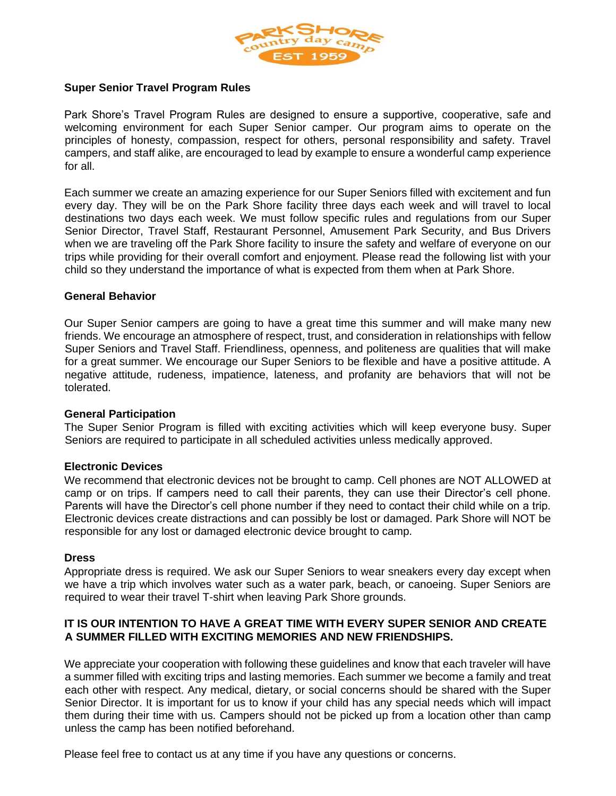

# **Super Senior Travel Program Rules**

Park Shore's Travel Program Rules are designed to ensure a supportive, cooperative, safe and welcoming environment for each Super Senior camper. Our program aims to operate on the principles of honesty, compassion, respect for others, personal responsibility and safety. Travel campers, and staff alike, are encouraged to lead by example to ensure a wonderful camp experience for all.

Each summer we create an amazing experience for our Super Seniors filled with excitement and fun every day. They will be on the Park Shore facility three days each week and will travel to local destinations two days each week. We must follow specific rules and regulations from our Super Senior Director, Travel Staff, Restaurant Personnel, Amusement Park Security, and Bus Drivers when we are traveling off the Park Shore facility to insure the safety and welfare of everyone on our trips while providing for their overall comfort and enjoyment. Please read the following list with your child so they understand the importance of what is expected from them when at Park Shore.

## **General Behavior**

Our Super Senior campers are going to have a great time this summer and will make many new friends. We encourage an atmosphere of respect, trust, and consideration in relationships with fellow Super Seniors and Travel Staff. Friendliness, openness, and politeness are qualities that will make for a great summer. We encourage our Super Seniors to be flexible and have a positive attitude. A negative attitude, rudeness, impatience, lateness, and profanity are behaviors that will not be tolerated.

#### **General Participation**

The Super Senior Program is filled with exciting activities which will keep everyone busy. Super Seniors are required to participate in all scheduled activities unless medically approved.

### **Electronic Devices**

We recommend that electronic devices not be brought to camp. Cell phones are NOT ALLOWED at camp or on trips. If campers need to call their parents, they can use their Director's cell phone. Parents will have the Director's cell phone number if they need to contact their child while on a trip. Electronic devices create distractions and can possibly be lost or damaged. Park Shore will NOT be responsible for any lost or damaged electronic device brought to camp.

### **Dress**

Appropriate dress is required. We ask our Super Seniors to wear sneakers every day except when we have a trip which involves water such as a water park, beach, or canoeing. Super Seniors are required to wear their travel T-shirt when leaving Park Shore grounds.

# **IT IS OUR INTENTION TO HAVE A GREAT TIME WITH EVERY SUPER SENIOR AND CREATE A SUMMER FILLED WITH EXCITING MEMORIES AND NEW FRIENDSHIPS.**

We appreciate your cooperation with following these guidelines and know that each traveler will have a summer filled with exciting trips and lasting memories. Each summer we become a family and treat each other with respect. Any medical, dietary, or social concerns should be shared with the Super Senior Director. It is important for us to know if your child has any special needs which will impact them during their time with us. Campers should not be picked up from a location other than camp unless the camp has been notified beforehand.

Please feel free to contact us at any time if you have any questions or concerns.